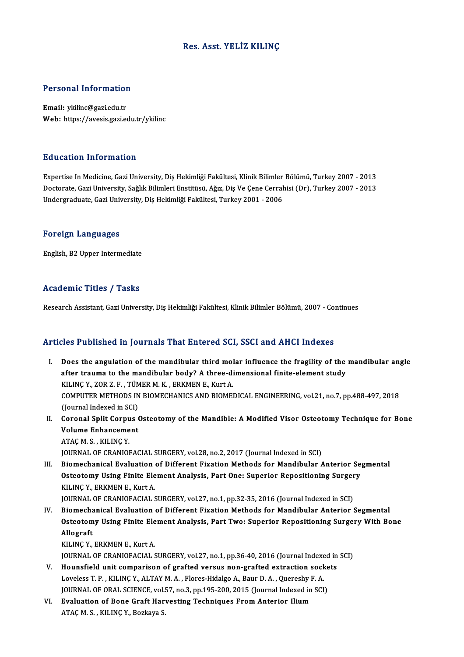### Res. Asst. YELİZ KILINÇ

# Personal Information

Personal Information<br>Email: ykilinc@gazi.edu.tr<br>Web: https://avesis.gazi.ed Email: ykilinc@gazi.edu.tr<br>Web: https://avesis.gazi.edu.tr/ykilinc

#### Education Information

E**ducation Information**<br>Expertise In Medicine, Gazi University, Diş Hekimliği Fakültesi, Klinik Bilimler Bölümü, Turkey 2007 - 2013<br>Destarata Gazi University, Sağlık Bilimleri Enstitüsü, Ağız, Diş Ve Cane Carrabisi (Dr.), Buususter, THTST Inustser<br>Expertise In Medicine, Gazi University, Diş Hekimliği Fakültesi, Klinik Bilimler Bölümü, Turkey 2007 - 2013<br>Undergraduate Cazi University, Sağlık Bilimleri Enstitüsü, Ağız, Diş Ve Çene Cerrahisi ( Doctorate, Gazi University, Sağlık Bilimleri Enstitüsü, Ağız, Diş Ve Çene Cerrahisi (Dr), Turkey 2007 - 2013<br>Undergraduate, Gazi University, Diş Hekimliği Fakültesi, Turkey 2001 - 2006

#### Foreign Languages

English,B2Upper Intermediate

#### Academic Titles / Tasks

Research Assistant, Gazi University, Diş Hekimliği Fakültesi, Klinik Bilimler Bölümü, 2007 - Continues

#### Articles Published in Journals That Entered SCI, SSCI and AHCI Indexes

- rticles Published in Journals That Entered SCI, SSCI and AHCI Indexes<br>I. Does the angulation of the mandibular third molar influence the fragility of the mandibular angle<br>ofter traums to the mandibular body? A three dimens body a distribute in your national since out out, soon and finite interaction<br>Does the angulation of the mandibular third molar influence the fragility of the<br>after trauma to the mandibular body? A three-dimensional finit Does the angulation of the mandibular third molafter trauma to the mandibular body? A three-din<br>KILINÇ Y., ZOR Z. F. , TÜMER M. K. , ERKMEN E., Kurt A.<br>COMBUTER METHODS IN BIOMECHANICS AND BIOMEL after trauma to the mandibular body? A three-dimensional finite-element study<br>KILINÇ Y., ZOR Z. F. , TÜMER M. K. , ERKMEN E., Kurt A.<br>COMPUTER METHODS IN BIOMECHANICS AND BIOMEDICAL ENGINEERING, vol.21, no.7, pp.488-497, 2 KILINÇ Y., ZOR Z. F. , TÜM<br>COMPUTER METHODS IN<br>(Journal Indexed in SCI)<br>Coronal Split Cornus ( COMPUTER METHODS IN BIOMECHANICS AND BIOMEDICAL ENGINEERING, vol.21, no.7, pp.488-497, 2018<br>(Journal Indexed in SCI)<br>II. Coronal Split Corpus Osteotomy of the Mandible: A Modified Visor Osteotomy Technique for Bone<br>Volume
- (Journal Indexed in SCI)<br>Coronal Split Corpus (Volume Enhancement) Coronal Split Corpu<br>Volume Enhanceme<br>ATAÇ M. S. , KILINÇ Y.<br>JOUPNAL OF CRANIOL Volume Enhancement<br>ATAÇ M. S. , KILINÇ Y.<br>JOURNAL OF CRANIOFACIAL SURGERY, vol.28, no.2, 2017 (Journal Indexed in SCI) ATAÇ M. S., KILINÇ Y.<br>JOURNAL OF CRANIOFACIAL SURGERY, vol.28, no.2, 2017 (Journal Indexed in SCI)<br>III. Biomechanical Evaluation of Different Fixation Methods for Mandibular Anterior Segmental<br>Ostastowy Haing Finite Flamen

JOURNAL OF CRANIOFACIAL SURGERY, vol.28, no.2, 2017 (Journal Indexed in SCI)<br>Biomechanical Evaluation of Different Fixation Methods for Mandibular Anterior Se<br>Osteotomy Using Finite Element Analysis, Part One: Superior Rep Biomechanical Evaluation<br>Osteotomy Using Finite Ele<br>KILINÇ Y., ERKMEN E., Kurt A.<br>JOUPNAL OF CRANIOFACIALS Osteotomy Using Finite Element Analysis, Part One: Superior Repositioning Surgery<br>KILINÇ Y., ERKMEN E., Kurt A.<br>JOURNAL OF CRANIOFACIAL SURGERY, vol.27, no.1, pp.32-35, 2016 (Journal Indexed in SCI)

KILINÇ Y., ERKMEN E., Kurt A.<br>JOURNAL OF CRANIOFACIAL SURGERY, vol.27, no.1, pp.32-35, 2016 (Journal Indexed in SCI)<br>IV. Biomechanical Evaluation of Different Fixation Methods for Mandibular Anterior Segmental<br>Osteotomy He JOURNAL OF CRANIOFACIAL SURGERY, vol.27, no.1, pp.32-35, 2016 (Journal Indexed in SCI)<br>Biomechanical Evaluation of Different Fixation Methods for Mandibular Anterior Segmental<br>Osteotomy Using Finite Element Analysis, Part Biomecha<br>Osteotom<br>Allograft<br>KU INC V **Osteotomy Using Finite Ele<br>Allograft<br>KILINÇ Y., ERKMEN E., Kurt A.<br>JOUPMAL OF CRANJOFACIALS** 

Allograft<br>KILINÇ Y., ERKMEN E., Kurt A.<br>JOURNAL OF CRANIOFACIAL SURGERY, vol.27, no.1, pp.36-40, 2016 (Journal Indexed in SCI) KILINÇ Y., ERKMEN E., Kurt A.<br>JOURNAL OF CRANIOFACIAL SURGERY, vol.27, no.1, pp.36-40, 2016 (Journal Indexed in<br>V. Hounsfield unit comparison of grafted versus non-grafted extraction sockets<br>Loveloss T. B., KILINC V., ALTA

- JOURNAL OF CRANIOFACIAL SURGERY, vol.27, no.1, pp.36-40, 2016 (Journal Indexe<br>Hounsfield unit comparison of grafted versus non-grafted extraction sock<br>Loveless T. P. , KILINÇ Y., ALTAY M. A. , Flores-Hidalgo A., Baur D. A. Hounsfield unit comparison of grafted versus non-grafted extraction socke<br>Loveless T. P. , KILINÇ Y., ALTAY M. A. , Flores-Hidalgo A., Baur D. A. , Quereshy F. A.<br>JOURNAL OF ORAL SCIENCE, vol.57, no.3, pp.195-200, 2015 (Jo Loveless T. P., KILINÇ Y., ALTAY M. A., Flores-Hidalgo A., Baur D. A., Quereshy l<br>JOURNAL OF ORAL SCIENCE, vol.57, no.3, pp.195-200, 2015 (Journal Indexed in<br>VI. Evaluation of Bone Graft Harvesting Techniques From Anterior
- JOURNAL OF ORAL SCIENCE, vol.:<br><mark>Evaluation of Bone Graft Har</mark><br>ATAÇ M. S. , KILINÇ Y., Bozkaya S.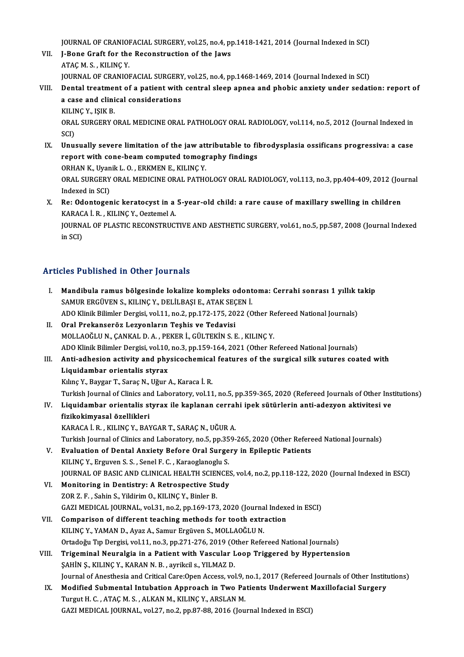JOURNAL OF CRANIOFACIAL SURGERY, vol.25, no.4, pp.1418-1421, 2014 (Journal Indexed in SCI)<br>I. Bane Creft for the Besenstruction of the Javy.

- VII. J-Bone Graft for the Reconstruction of the Jaws<br>ATAC M. S., KILINC Y. **JOURNAL OF CRANIOI<br>J-Bone Graft for the<br>ATAÇ M. S. , KILINÇ Y.<br>JOUPNAL OF CRANIOI** JOURNAL OF CRANIOFACIAL SURGERY, vol.25, no.4, pp.1468-1469, 2014 (Journal Indexed in SCI) ATAÇ M. S. , KILINÇ Y.<br>JOURNAL OF CRANIOFACIAL SURGERY, vol.25, no.4, pp.1468-1469, 2014 (Journal Indexed in SCI)<br>VIII. Dental treatment of a patient with central sleep apnea and phobic anxiety under sedation: report o
- JOURNAL OF CRANIOFACIAL SURGERY<br>Dental treatment of a patient with<br>a case and clinical considerations<br>FULINC V. ISIF P **Dental treatmer<br>a case and clini<br>KILINÇ Y., IŞIK B.<br>OPAL SURCERY G** a case and clinical considerations<br>KILINÇ Y., IŞIK B.<br>ORAL SURGERY ORAL MEDICINE ORAL PATHOLOGY ORAL RADIOLOGY, vol.114, no.5, 2012 (Journal Indexed in<br>SCI) KILINÇ Y., IŞIK B.
- ORAL SURGERY ORAL MEDICINE ORAL PATHOLOGY ORAL RADIOLOGY, vol.114, no.5, 2012 (Journal Indexed in SCI)<br>SCI)<br>IX. Unusually severe limitation of the jaw attributable to fibrodysplasia ossificans progressiva: a case<br>report wi SCI)<br>Unusually severe limitation of the jaw attributable to fi<br>report with cone-beam computed tomography findings<br>OPHAN K. Uranik L. O. FRKMEN E. KU INC V. Unusually severe limitation of the jaw at<br>report with cone-beam computed tomogr<br>ORHAN K., Uyanik L. O. , ERKMEN E., KILINÇ Y.<br>ORAL SURGERY ORAL MEDICINE ORAL RATHO report with cone-beam computed tomography findings<br>ORHAN K., Uyanik L. O. , ERKMEN E., KILINÇ Y.<br>ORAL SURGERY ORAL MEDICINE ORAL PATHOLOGY ORAL RADIOLOGY, vol.113, no.3, pp.404-409, 2012 (Journal<br>Indoved in SCD. ORHAN K., Uyan<br>ORAL SURGERY<br>Indexed in SCI)<br>Re: Odenteser ORAL SURGERY ORAL MEDICINE ORAL PATHOLOGY ORAL RADIOLOGY, vol.113, no.3, pp.404-409, 2012 (Journal Indexed in SCI)<br>X. Re: Odontogenic keratocyst in a 5-year-old child: a rare cause of maxillary swelling in children<br>KARACA
- Indexed in SCI)<br>Re: Odontogenic keratocyst in a<br>KARACA İ. R. , KILINÇ Y., Oeztemel A.<br>JOUPNAL OF PLASTIC PECONSTRUC Re: Odontogenic keratocyst in a 5-year-old child: a rare cause of maxillary swelling in children<br>KARACA İ. R. , KILINÇ Y., Oeztemel A.<br>JOURNAL OF PLASTIC RECONSTRUCTIVE AND AESTHETIC SURGERY, vol.61, no.5, pp.587, 2008 (Jo

KARACA İ. R. , KILINÇ Y., Oeztemel A.<br>JOURNAL OF PLASTIC RECONSTRUCTIVE AND AESTHETIC SURGERY, vol.61, no.5, pp.587, 2008 (Journal Indexed<br>in SCI)

## Articles Published in Other Journals<br>  $\therefore$   $\therefore$   $\therefore$   $\therefore$   $\therefore$   $\therefore$   $\therefore$   $\therefore$   $\therefore$   $\therefore$   $\therefore$   $\therefore$   $\therefore$   $\therefore$   $\therefore$   $\therefore$   $\therefore$   $\therefore$   $\therefore$   $\therefore$   $\therefore$   $\therefore$   $\therefore$   $\therefore$   $\therefore$   $\therefore$   $\therefore$   $\therefore$   $\therefore$   $\therefore$   $\therefore$

| <b>Articles Published in Other Journals</b> |                                                                                                                     |  |
|---------------------------------------------|---------------------------------------------------------------------------------------------------------------------|--|
| L                                           | Mandibula ramus bölgesinde lokalize kompleks odontoma: Cerrahi sonrası 1 yıllık takip                               |  |
|                                             | SAMUR ERGÜVEN S., KILINÇ Y., DELİLBAŞI E., ATAK SEÇEN İ.                                                            |  |
|                                             | ADO Klinik Bilimler Dergisi, vol.11, no.2, pp.172-175, 2022 (Other Refereed National Journals)                      |  |
| П.                                          | Oral Prekanseröz Lezyonların Teşhis ve Tedavisi                                                                     |  |
|                                             | MOLLAOĞLU N., ÇANKAL D. A., PEKER İ., GÜLTEKİN S. E., KILINÇ Y.                                                     |  |
|                                             | ADO Klinik Bilimler Dergisi, vol.10, no.3, pp.159-164, 2021 (Other Refereed National Journals)                      |  |
| III.                                        | Anti-adhesion activity and physicochemical features of the surgical silk sutures coated with                        |  |
|                                             | Liquidambar orientalis styrax                                                                                       |  |
|                                             | Kılınç Y., Baygar T., Saraç N., Uğur A., Karaca İ. R.                                                               |  |
|                                             | Turkish Journal of Clinics and Laboratory, vol.11, no.5, pp.359-365, 2020 (Refereed Journals of Other Institutions) |  |
| IV.                                         | Liquidambar orientalis styrax ile kaplanan cerrahi ipek sütürlerin anti-adezyon aktivitesi ve                       |  |
|                                             | fizikokimyasal özellikleri                                                                                          |  |
|                                             | KARACA İ. R., KILINÇ Y., BAYGAR T., SARAÇ N., UĞUR A.                                                               |  |
|                                             | Turkish Journal of Clinics and Laboratory, no.5, pp.359-265, 2020 (Other Refereed National Journals)                |  |
| V.                                          | Evaluation of Dental Anxiety Before Oral Surgery in Epileptic Patients                                              |  |
|                                             | KILINÇ Y., Erguven S. S., Senel F. C., Karaoglanoglu S.                                                             |  |
|                                             | JOURNAL OF BASIC AND CLINICAL HEALTH SCIENCES, vol.4, no.2, pp.118-122, 2020 (Journal Indexed in ESCI)              |  |
| VI.                                         | Monitoring in Dentistry: A Retrospective Study                                                                      |  |
|                                             | ZOR Z. F., Sahin S., Yildirim O., KILINÇ Y., Binler B.                                                              |  |
|                                             | GAZI MEDICAL JOURNAL, vol.31, no.2, pp.169-173, 2020 (Journal Indexed in ESCI)                                      |  |
| VII.                                        | Comparison of different teaching methods for tooth extraction                                                       |  |
|                                             | KILINÇ Y., YAMAN D., Ayaz A., Samur Ergüven S., MOLLAOĞLU N.                                                        |  |
|                                             | Ortadoğu Tıp Dergisi, vol.11, no.3, pp.271-276, 2019 (Other Refereed National Journals)                             |  |
| VIII.                                       | Trigeminal Neuralgia in a Patient with Vascular Loop Triggered by Hypertension                                      |  |
|                                             | ŞAHİN Ş., KILINÇ Y., KARAN N. B. , ayrikcil s., YILMAZ D.                                                           |  |
|                                             | Journal of Anesthesia and Critical Care: Open Access, vol.9, no.1, 2017 (Refereed Journals of Other Institutions)   |  |
| IX.                                         | Modified Submental Intubation Approach in Two Patients Underwent Maxillofacial Surgery                              |  |
|                                             | Turgut H. C., ATAÇ M. S., ALKAN M., KILINÇ Y., ARSLAN M.                                                            |  |
|                                             | GAZI MEDICAL JOURNAL, vol.27, no.2, pp.87-88, 2016 (Journal Indexed in ESCI)                                        |  |
|                                             |                                                                                                                     |  |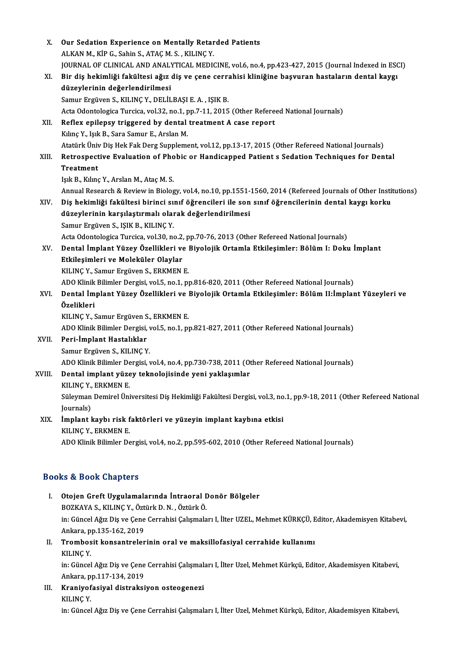| X.     | Our Sedation Experience on Mentally Retarded Patients                                                              |
|--------|--------------------------------------------------------------------------------------------------------------------|
|        | ALKAN M., KİP G., Sahin S., ATAÇ M. S., KILINÇ Y.                                                                  |
|        | JOURNAL OF CLINICAL AND ANALYTICAL MEDICINE, vol.6, no.4, pp.423-427, 2015 (Journal Indexed in ESCI)               |
| XI.    | Bir diş hekimliği fakültesi ağız diş ve çene cerrahisi kliniğine başvuran hastaların dental kaygı                  |
|        | düzeylerinin değerlendirilmesi                                                                                     |
|        | Samur Ergüven S., KILINÇ Y., DELİLBAŞI E. A., IŞIK B.                                                              |
|        | Acta Odontologica Turcica, vol.32, no.1, pp.7-11, 2015 (Other Refereed National Journals)                          |
| XII.   | Reflex epilepsy triggered by dental treatment A case report                                                        |
|        | Kılınç Y., Işık B., Sara Samur E., Arslan M.                                                                       |
|        | Atatürk Üniv Diş Hek Fak Derg Supplement, vol.12, pp.13-17, 2015 (Other Refereed National Journals)                |
| XIII.  | Retrospective Evaluation of Phobic or Handicapped Patient s Sedation Techniques for Dental                         |
|        | <b>Treatment</b>                                                                                                   |
|        | Isık B., Kılınç Y., Arslan M., Ataç M. S.                                                                          |
|        | Annual Research & Review in Biology, vol.4, no.10, pp.1551-1560, 2014 (Refereed Journals of Other Institutions)    |
| XIV.   | Diş hekimliği fakültesi birinci sınıf öğrencileri ile son sınıf öğrencilerinin dental kaygı korku                  |
|        | düzeylerinin karşılaştırmalı olarak değerlendirilmesi                                                              |
|        | Samur Ergüven S., IŞIK B., KILINÇ Y.                                                                               |
|        | Acta Odontologica Turcica, vol.30, no.2, pp.70-76, 2013 (Other Refereed National Journals)                         |
| XV.    | Dental İmplant Yüzey Özellikleri ve Biyolojik Ortamla Etkileşimler: Bölüm I: Doku İmplant                          |
|        | Etkileşimleri ve Moleküler Olaylar                                                                                 |
|        | KILINÇ Y., Samur Ergüven S., ERKMEN E.                                                                             |
|        | ADO Klinik Bilimler Dergisi, vol.5, no.1, pp.816-820, 2011 (Other Refereed National Journals)                      |
| XVI.   | Dental İmplant Yüzey Özellikleri ve Biyolojik Ortamla Etkileşimler: Bölüm II:İmplant Yüzeyleri ve                  |
|        | Özelikleri                                                                                                         |
|        | KILINÇ Y., Samur Ergüven S., ERKMEN E.                                                                             |
|        | ADO Klinik Bilimler Dergisi, vol.5, no.1, pp.821-827, 2011 (Other Refereed National Journals)                      |
| XVII.  | Peri-İmplant Hastalıklar                                                                                           |
|        | Samur Ergüven S., KILINÇ Y.                                                                                        |
|        | ADO Klinik Bilimler Dergisi, vol.4, no.4, pp.730-738, 2011 (Other Refereed National Journals)                      |
| XVIII. | Dental implant yüzey teknolojisinde yeni yaklaşımlar                                                               |
|        | KILINÇ Y., ERKMEN E.                                                                                               |
|        | Süleyman Demirel Üniversitesi Diş Hekimliği Fakültesi Dergisi, vol.3, no.1, pp.9-18, 2011 (Other Refereed National |
|        | Journals)                                                                                                          |
| XIX.   | İmplant kaybı risk faktörleri ve yüzeyin implant kaybına etkisi                                                    |
|        | KILINÇ Y., ERKMEN E.                                                                                               |
|        | ADO Klinik Bilimler Dergisi, vol.4, no.2, pp.595-602, 2010 (Other Refereed National Journals)                      |
|        |                                                                                                                    |
|        | <b>Books &amp; Book Chapters</b>                                                                                   |
| Ι.     | Otojen Greft Uygulamalarında İntraoral Donör Bölgeler                                                              |
|        | BOZKAYA S., KILINÇ Y., Öztürk D. N., Öztürk Ö.                                                                     |
|        | in: Güncel Ağız Diş ve Çene Cerrahisi Çalışmaları I, İlter UZEL, Mehmet KÜRKÇÜ, Editor, Akademisyen Kitabevi,      |
|        | Ankara, pp 135-162, 2019                                                                                           |
| П.     | Trombosit konsantrelerinin oral ve maksillofasiyal cerrahide kullanımı                                             |
|        | <b>VILING V</b>                                                                                                    |

KILINÇY.

Trombosit konsantrelerinin oral ve maksillofasiyal cerrahide kullanımı<br>KILINÇ Y.<br>in: Güncel Ağız Diş ve Çene Cerrahisi Çalışmaları I, İlter Uzel, Mehmet Kürkçü, Editor, Akademisyen Kitabevi,<br>Ankara, pp.117.134.2019. KILINÇ Y.<br>in: Güncel Ağız Diş ve Çene<br>Ankara, pp.117-134, 2019<br>Knanive fasival distraksi in: Güncel Ağız Diş ve Çene Cerrahisi Çalışmal<br>Ankara, pp.117-134, 2019<br>III. Kraniyofasiyal distraksiyon osteogenezi<br>KU NG V

Ankara, pp.117-134, 2019<br>III. Kraniyofasiyal distraksiyon osteogenezi<br>KILINÇY.

in: Güncel Ağız Diş ve Çene Cerrahisi Çalışmaları I, İlter Uzel, Mehmet Kürkçü, Editor, Akademisyen Kitabevi,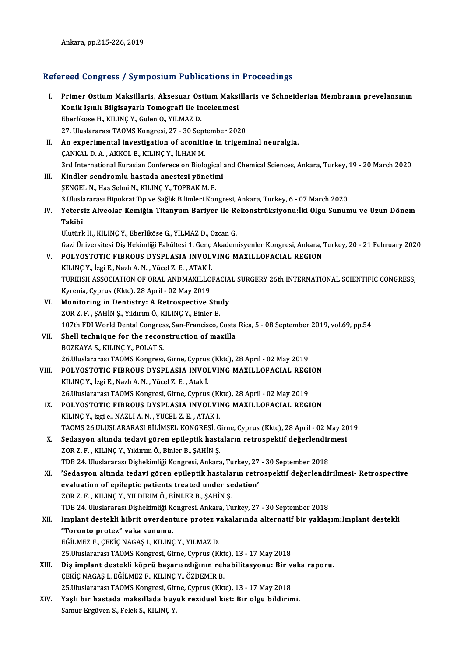# Ankara, pp.215-226, 2019<br>Refereed Congress / Symposium Publications in Proceedings

| Refereed Congress / Symposium Publications in Proceedings |                                                                                                                                                       |  |
|-----------------------------------------------------------|-------------------------------------------------------------------------------------------------------------------------------------------------------|--|
| L.                                                        | Primer Ostium Maksillaris, Aksesuar Ostium Maksillaris ve Schneiderian Membranın prevelansının<br>Konik Işınlı Bilgisayarlı Tomografi ile incelenmesi |  |
|                                                           | Eberliköse H., KILINÇ Y., Gülen O., YILMAZ D.                                                                                                         |  |
|                                                           | 27. Uluslararası TAOMS Kongresi, 27 - 30 September 2020                                                                                               |  |
| Н.                                                        | An experimental investigation of aconitine in trigeminal neuralgia.                                                                                   |  |
|                                                           | ÇANKAL D. A., AKKOL E., KILINÇ Y., İLHAN M.                                                                                                           |  |
|                                                           | 3rd International Eurasian Conferece on Biological and Chemical Sciences, Ankara, Turkey, 19 - 20 March 2020                                          |  |
| III.                                                      | Kindler sendromlu hastada anestezi yönetimi                                                                                                           |  |
|                                                           | ŞENGEL N., Has Selmi N., KILINÇ Y., TOPRAK M. E.                                                                                                      |  |
|                                                           | 3. Uluslararası Hipokrat Tıp ve Sağlık Bilimleri Kongresi, Ankara, Turkey, 6 - 07 March 2020                                                          |  |
| IV.                                                       | Yetersiz Alveolar Kemiğin Titanyum Bariyer ile Rekonstrüksiyonu:İki Olgu Sunumu ve Uzun Dönem                                                         |  |
|                                                           | Takibi                                                                                                                                                |  |
|                                                           | Ulutürk H., KILINÇ Y., Eberliköse G., YILMAZ D., Özcan G.                                                                                             |  |
|                                                           | Gazi Üniversitesi Diş Hekimliği Fakültesi 1. Genç Akademisyenler Kongresi, Ankara, Turkey, 20 - 21 February 2020                                      |  |
| V.                                                        | POLYOSTOTIC FIBROUS DYSPLASIA INVOLVING MAXILLOFACIAL REGION                                                                                          |  |
|                                                           | KILINÇ Y., İzgi E., Nazlı A. N., Yücel Z. E., ATAK İ.                                                                                                 |  |
|                                                           | TURKISH ASSOCIATION OF ORAL ANDMAXILLOFACIAL SURGERY 26th INTERNATIONAL SCIENTIFIC CONGRESS,                                                          |  |
|                                                           | Kyrenia, Cyprus (Kktc), 28 April - 02 May 2019                                                                                                        |  |
| VI.                                                       | Monitoring in Dentistry: A Retrospective Study<br>ZOR Z. F., ŞAHİN Ş., Yıldırım Ö., KILINÇ Y., Binler B.                                              |  |
|                                                           | 107th FDI World Dental Congress, San-Francisco, Costa Rica, 5 - 08 September 2019, vol.69, pp.54                                                      |  |
| VII.                                                      | Shell technique for the reconstruction of maxilla                                                                                                     |  |
|                                                           | BOZKAYA S., KILINÇ Y., POLAT S.                                                                                                                       |  |
|                                                           | 26. Uluslararası TAOMS Kongresi, Girne, Cyprus (Kktc), 28 April - 02 May 2019                                                                         |  |
| VIII.                                                     | POLYOSTOTIC FIBROUS DYSPLASIA INVOLVING MAXILLOFACIAL REGION                                                                                          |  |
|                                                           | KILINÇ Y., İzgi E., Nazlı A. N., Yücel Z. E., Atak İ.                                                                                                 |  |
|                                                           | 26. Uluslararası TAOMS Kongresi, Girne, Cyprus (Kktc), 28 April - 02 May 2019                                                                         |  |
| IX.                                                       | POLYOSTOTIC FIBROUS DYSPLASIA INVOLVING MAXILLOFACIAL REGION                                                                                          |  |
|                                                           | KILINÇ Y., izgi e., NAZLI A. N., YÜCEL Z. E., ATAK İ.                                                                                                 |  |
|                                                           | TAOMS 26.ULUSLARARASI BİLİMSEL KONGRESİ, Girne, Cyprus (Kktc), 28 April - 02 May 2019                                                                 |  |
| X.                                                        | Sedasyon altında tedavi gören epileptik hastaların retrospektif değerlendirmesi                                                                       |  |
|                                                           | ZOR Z. F., KILINÇ Y., Yıldırım Ö., Binler B., ŞAHİN Ş.                                                                                                |  |
|                                                           | TDB 24. Uluslararası Dişhekimliği Kongresi, Ankara, Turkey, 27 - 30 September 2018                                                                    |  |
| XI.                                                       | 'Sedasyon altında tedavi gören epileptik hastaların retrospektif değerlendirilmesi- Retrospective                                                     |  |
|                                                           | evaluation of epileptic patients treated under sedation'                                                                                              |  |
|                                                           | ZOR Z. F., KILINÇ Y., YILDIRIM Ö., BİNLER B., ŞAHİN Ş.<br>TDB 24. Uluslararası Dişhekimliği Kongresi, Ankara, Turkey, 27 - 30 September 2018          |  |
| XII.                                                      | İmplant destekli hibrit overdenture protez vakalarında alternatif bir yaklaşım: İmplant destekli                                                      |  |
|                                                           | "Toronto protez" vaka sunumu.                                                                                                                         |  |
|                                                           | EĞİLMEZ F., ÇEKİÇ NAGAŞ I., KILINÇ Y., YILMAZ D.                                                                                                      |  |
|                                                           | 25. Uluslararası TAOMS Kongresi, Girne, Cyprus (Kktc), 13 - 17 May 2018                                                                               |  |
| XIII.                                                     | Diş implant destekli köprü başarısızlığının rehabilitasyonu: Bir vaka raporu.                                                                         |  |
|                                                           | ÇEKİÇ NAGAŞ I., EĞİLMEZ F., KILINÇ Y., ÖZDEMİR B.                                                                                                     |  |
|                                                           | 25. Uluslararası TAOMS Kongresi, Girne, Cyprus (Kktc), 13 - 17 May 2018                                                                               |  |
| XIV.                                                      | Yaşlı bir hastada maksillada büyük rezidüel kist: Bir olgu bildirimi.                                                                                 |  |
|                                                           | Samur Ergüven S., Felek S., KILINÇ Y.                                                                                                                 |  |
|                                                           |                                                                                                                                                       |  |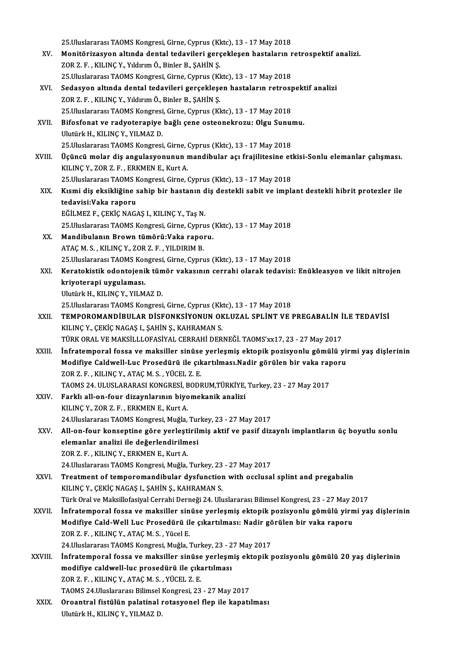25. Uluslararası TAOMS Kongresi, Girne, Cyprus (Kktc), 13 - 17 May 2018 25.Uluslararası TAOMS Kongresi, Girne, Cyprus (Kktc), 13 - 17 May 2018<br>XV. Monitörizasyon altında dental tedavileri gerçekleşen hastaların retrospektif analizi.<br>ZOR Z. E. KU INC V. Vildinim Ö. Birler B. SAHİN S. 25.Uluslararası TAOMS Kongresi, Girne, Cyprus (KK<br>Monitörizasyon altında dental tedavileri gerç<br>ZOR Z. F., KILINÇ Y., Yıldırım Ö., Binler B., ŞAHİN Ş.<br>25 Uluslararası TAOMS Kongresi, Girne, Gunus (KL Monitörizasyon altında dental tedavileri gerçekleşen hastaların r<br>ZOR Z. F. , KILINÇ Y., Yıldırım Ö., Binler B., ŞAHİN Ş.<br>25.Uluslararası TAOMS Kongresi, Girne, Cyprus (Kktc), 13 - 17 May 2018<br>Sedasyon altında dantal tedav XOR Z. F. , KILINÇ Y., Yıldırım Ö., Binler B., ŞAHİN Ş.<br>25.Uluslararası TAOMS Kongresi, Girne, Cyprus (Kktc), 13 - 17 May 2018<br>XVI. Sedasyon altında dental tedavileri gerçekleşen hastaların retrospektif analizi<br>200 7 E 25.Uluslararası TAOMS Kongresi, Girne, Cyprus (Kktc), 13 - 17 May 2018<br>Sedasyon altında dental tedavileri gerçekleşen hastaların retros<sub>l</sub><br>ZOR Z. F. , KILINÇ Y., Yıldırım Ö., Binler B., ŞAHİN Ş. Sedasyon altında dental tedavileri gerçekleşen hastaların retrosp<br>ZOR Z. F. , KILINÇ Y., Yıldırım Ö., Binler B., ŞAHİN Ş.<br>25.Uluslararası TAOMS Kongresi, Girne, Cyprus (Kktc), 13 - 17 May 2018<br>Bifasfanat ve redystaraniya h XVII. Bifosfonat ve radyoterapiye bağlı çene osteonekrozu: Olgu Sunumu.<br>Ulutürk H., KILINC Y., YILMAZ D. 25. Uluslararası TAOMS Kongresi, Girne, Cyprus (Kktc), 13 - 17 May 2018 25.Uluslararası TAOMS Kongresi, Girne, Cyprus (Kktc), 13 - 17 May 2018 Ulutürk H., KILINÇ Y., YILMAZ D.<br>25.Uluslararası TAOMS Kongresi, Girne, Cyprus (Kktc), 13 - 17 May 2018<br>XVIII. Üçüncü molar diş angulasyonunun mandibular açı frajilitesine etkisi-Sonlu elemanlar çalışması.<br>XVII.NG V. ZOR Z 25.Uluslararası TAOMS Kongresi, Girne, Olislar<br>Üçüncü molar diş angulasyonunun ı<br>KILINÇ Y., ZOR Z. F. , ERKMEN E., Kurt A.<br>25 Huselararası TAOMS Kongresi, Girne 1 Üçüncü molar diş angulasyonunun mandibular açı frajilitesine et<br>KILINÇ Y., ZOR Z. F. , ERKMEN E., Kurt A.<br>25.Uluslararası TAOMS Kongresi, Girne, Cyprus (Kktc), 13 - 17 May 2018<br>Kısmi diş eksikliğine sahin bir baştanın diş KILINÇ Y., ZOR Z. F. , ERKMEN E., Kurt A.<br>25.Uluslararası TAOMS Kongresi, Girne, Cyprus (Kktc), 13 - 17 May 2018<br>XIX. Kısmi diş eksikliğine sahip bir hastanın diş destekli sabit ve implant destekli hibrit protezler ile 25.Uluslararası TAOMS F<br>Kısmi diş eksikliğine s<br>tedavisi:Vaka raporu<br>FĞİLMEZ E. GEKİC NAC Kısmi diş eksikliğine sahip bir hastanın d<br>tedavisi:Vaka raporu<br>EĞİLMEZ F., ÇEKİÇ NAGAŞ I., KILINÇ Y., Taş N.<br>25 Hluslanarası TAQMS Kangrasi Girne Gunnu tedavisi:Vaka raporu<br>EĞİLMEZ F., ÇEKİÇ NAGAŞ I., KILINÇ Y., Taş N.<br>25.Uluslararası TAOMS Kongresi, Girne, Cyprus (Kktc), 13 - 17 May 2018<br>Mandibulanın Provın tümörü:Vaka ranoru. EĞİLMEZ F., ÇEKİÇ NAGAŞ I., KILINÇ Y., Taş N.<br>25.Uluslararası TAOMS Kongresi, Girne, Cyprus (<br>XX. Mandibulanın Brown tümörü:Vaka raporu.<br>ATAÇ M. S. , KILINÇ Y., ZOR Z. F. , YILDIRIM B. 25.Uluslararası TAOMS Kongresi, Girne, Cypru<br>Mandibulanın Brown tümörü:Vaka rapoı<br>ATAÇ M. S. , KILINÇ Y., ZOR Z. F. , YILDIRIM B.<br>25 Uluslararası TAOMS Kongresi, Girne, Gunru Mandibulanın Brown tümörü:Vaka raporu.<br>ATAÇ M. S. , KILINÇ Y., ZOR Z. F. , YILDIRIM B.<br>25.Uluslararası TAOMS Kongresi, Girne, Cyprus (Kktc), 13 - 17 May 2018<br>Konstekistik odentejenik tümön vekseynu senrebi elenek tedevisi ATAÇ M. S. , KILINÇ Y., ZOR Z. F. , YILDIRIM B.<br>25.Uluslararası TAOMS Kongresi, Girne, Cyprus (Kktc), 13 - 17 May 2018<br>XXI. Keratokistik odontojenik tümör vakasının cerrahi olarak tedavisi: Enükleasyon ve likit nitroje 25.Uluslararası TAOMS Kor<br>Keratokistik odontojeni<br>kriyoterapi uygulaması.<br>Illutürk H. KILINC V. VILM Keratokistik odontojenik tüm<br>kriyoterapi uygulaması.<br>Ulutürk H., KILINÇ Y., YILMAZ D.<br>25 Uluslararası TAOMS Kongresi kriyoterapi uygulaması.<br>Ulutürk H., KILINÇ Y., YILMAZ D.<br>25.Uluslararası TAOMS Kongresi, Girne, Cyprus (Kktc), 13 - 17 May 2018<br>TEMPOROMANDİRUL AR DİSEONKSİYONUN OKLUZAL SRLİNT VE I Ulutürk H., KILINÇ Y., YILMAZ D.<br>25.Uluslararası TAOMS Kongresi, Girne, Cyprus (Kktc), 13 - 17 May 2018<br>XXII. TEMPOROMANDİBULAR DİSFONKSİYONUN OKLUZAL SPLİNT VE PREGABALİN İLE TEDAVİSİ 25.Uluslararası TAOMS Kongresi, Girne, Cyprus (Kk<br>TEMPOROMANDİBULAR DİSFONKSİYONUN OK<br>KILINÇ Y., ÇEKİÇ NAGAŞ I., ŞAHİN Ş., KAHRAMAN S.<br>TÜRK ORAL VE MAKSİLLI OFASİYAL CERRAHİ DER TEMPOROMANDİBULAR DİSFONKSİYONUN OKLUZAL SPLİNT VE PREGABALİN İ<br>KILINÇ Y., ÇEKİÇ NAGAŞ I., ŞAHİN Ş., KAHRAMAN S.<br>TÜRK ORAL VE MAKSİLLLOFASİYAL CERRAHİ DERNEĞİ. TAOMS'xx17, 23 - 27 May 2017<br>İnfratamnaral fossa ve maksillar KILINÇ Y., ÇEKİÇ NAGAŞ I., ŞAHİN Ş., KAHRAMAN S.<br>TÜRK ORAL VE MAKSİLLLOFASİYAL CERRAHİ DERNEĞİ. TAOMS'xx17, 23 - 27 May 2017<br>XXIII. İnfratemporal fossa ve maksiller sinüse yerleşmiş ektopik pozisyonlu gömülü yirmi yaş TÜRK ORAL VE MAKSİLLLOFASİYAL CERRAHİ DERNEĞİ. TAOMS'xx17, 23 - 27 May 2017<br>İnfratemporal fossa ve maksiller sinüse yerleşmiş ektopik pozisyonlu gömülü yi:<br>Modifiye Caldwell-Luc Prosedürü ile çıkartılması.Nadir görülen bir İnfratemporal fossa ve maksiller sinüse<br>Modifiye Caldwell-Luc Prosedürü ile çık<br>ZOR Z. F., KILINÇ Y., ATAÇ M. S., YÜCEL Z. E.<br>TAQMS 24. III USLARASI KONCRESI RODI Modifiye Caldwell-Luc Prosedürü ile çıkartılması.Nadir görülen bir vaka rap<br>ZOR Z. F. , KILINÇ Y., ATAÇ M. S. , YÜCEL Z. E.<br>TAOMS 24. ULUSLARARASI KONGRESİ, BODRUM,TÜRKİYE, Turkey, 23 - 27 May 2017<br>Farklı all an faur dizay ZOR Z. F., KILINÇ Y., ATAÇ M. S., YÜCEL Z. E.<br>TAOMS 24. ULUSLARARASI KONGRESİ, BODRUM,TÜRKİYE,<br>XXIV. Farklı all-on-four dizaynlarının biyomekanik analizi TAOMS 24. ULUSLARARASI KONGRESİ, E<br>Farklı all-on-four dizaynlarının biyo<br>KILINÇ Y., ZOR Z. F. , ERKMEN E., Kurt A.<br>24 Huselararesi TAOMS Kongresi Muğla KILINÇ Y., ZOR Z. F., ERKMEN E., Kurt A.<br>24.Uluslararası TAOMS Kongresi, Muğla, Turkey, 23 - 27 May 2017 KILINÇ Y., ZOR Z. F. , ERKMEN E., Kurt A.<br>24.Uluslararası TAOMS Kongresi, Muğla, Turkey, 23 - 27 May 2017<br>XXV. All-on-four konseptine göre yerleştirilmiş aktif ve pasif dizaynlı implantların üç boyutlu sonlu<br>alamanlar 24.Uluslararası TAOMS Kongresi, Muğla, Tur<br>All-on-four konseptine göre yerleştirili<br>elemanlar analizi ile değerlendirilmesi<br>70P 7 F - KU INC V ERKMEN F - Kurt A All-on-four konseptine göre yerleşt:<br>elemanlar analizi ile değerlendirilm<br>ZOR Z. F., KILINÇ Y., ERKMEN E., Kurt A.<br>24 Uluslararası TAOMS Kongresi Muğla elemanlar analizi ile değerlendirilmesi<br>20R Z. F. , KILINÇ Y., ERKMEN E., Kurt A.<br>24.Uluslararası TAOMS Kongresi, Muğla, Turkey, 23 - 27 May 2017 ZOR Z. F. , KILINÇ Y., ERKMEN E., Kurt A.<br>24.Uluslararası TAOMS Kongresi, Muğla, Turkey, 23 - 27 May 2017<br>XXVI. Treatment of temporomandibular dysfunction with occlusal splint and pregabalin<br>KILING V. GEKİC NACAS L SAH 24.Uluslararası TAOMS Kongresi, Muğla, Turkey, 23<br>Treatment of temporomandibular dysfunction<br>KILINÇ Y., ÇEKİÇ NAGAŞ I., ŞAHİN Ş., KAHRAMAN S.<br>Türk Oral ve Maksillefasiyal Cerrebi Derneği 24. Ulu Treatment of temporomandibular dysfunction with occlusal splint and pregabalin<br>KILINÇ Y., ÇEKİÇ NAGAŞ I., ŞAHİN Ş., KAHRAMAN S.<br>Türk Oral ve Maksillofasiyal Cerrahi Derneği 24. Uluslararası Bilimsel Kongresi, 23 - 27 May 2 KILINÇ Y., ÇEKİÇ NAGAŞ I., ŞAHİN Ş., KAHRAMAN S.<br>Türk Oral ve Maksillofasiyal Cerrahi Derneği 24. Uluslararası Bilimsel Kongresi, 23 - 27 May 2017<br>XXVII. İnfratemporal fossa ve maksiller sinüse yerleşmiş ektopik pozisyonlu Türk Oral ve Maksillofasiyal Cerrahi Derneği 24. Uluslararası Bilimsel Kongresi, 23 - 27 May 2017<br>**İnfratemporal fossa ve maksiller sinüse yerleşmiş ektopik pozisyonlu gömülü yirmi ya**<br>Modifiye Cald-Well Luc Prosedürü ile İnfratemporal fossa ve maksiller sin<br>Modifiye Cald-Well Luc Prosedürü il<br>ZOR Z. F., KILINÇ Y., ATAÇ M. S., Yücel E.<br>24 Uluslararası TAQMS Kangrasi Muğla Modifiye Cald-Well Luc Prosedürü ile çıkartılması: Nadir görülen bir vaka raporu<br>ZOR Z. F. , KILINÇ Y., ATAÇ M. S. , Yücel E.<br>24.Uluslararası TAOMS Kongresi, Muğla, Turkey, 23 - 27 May 2017 XXVIII. İnfratemporal fossa ve maksiller sinüse yerleşmiş ektopik pozisyonlu gömülü 20 yaş dişlerinin 24.Uluslararası TAOMS Kongresi, Muğla, Turkey, 23 - 2<br>İnfratemporal fossa ve maksiller sinüse yerleşm<br>modifiye caldwell-luc prosedürü ile çıkartılması<br>70P 7 E - KU INC V-ATAC M-S - VÜCEL 7 E İnfratemporal fossa ve maksiller sinüse<br>modifiye caldwell-luc prosedürü ile çık:<br>ZOR Z. F. , KILINÇ Y., ATAÇ M. S. , YÜCEL Z. E.<br>TAQMS 24 Uluslarares: Bilimsel Kanspesi, 22 modifiye caldwell-luc prosedürü ile çıkartılması<br>ZOR Z. F. , KILINÇ Y., ATAÇ M. S. , YÜCEL Z. E.<br>TAOMS 24.Uluslararası Bilimsel Kongresi, 23 - 27 May 2017<br>Oneentral fistülün polatinal retasyonal flan ile kanatıl ZOR Z. F. , KILINÇ Y., ATAÇ M. S. , YÜCEL Z. E.<br>TAOMS 24.Uluslararası Bilimsel Kongresi, 23 - 27 May 2017<br>XXIX. Oroantral fistülün palatinal rotasyonel flep ile kapatılması<br>Hutürk H. KU INC Y. YU MAZ D. TAOMS 24.Uluslararası Bilimsel |<br><mark>Oroantral fistülün palatinal ı</mark><br>Ulutürk H., KILINÇ Y., YILMAZ D.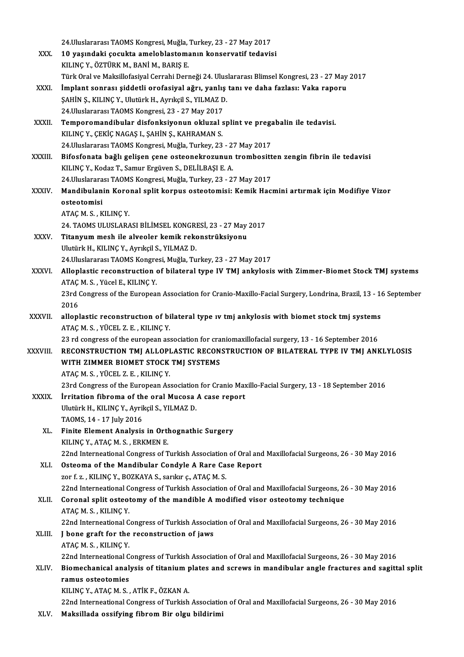|               | 24. Uluslararası TAOMS Kongresi, Muğla, Turkey, 23 - 27 May 2017                                                                  |
|---------------|-----------------------------------------------------------------------------------------------------------------------------------|
| XXX.          | 10 yaşındaki çocukta ameloblastomanın konservatif tedavisi                                                                        |
|               | KILINÇ Y., ÖZTÜRK M., BANİ M., BARIŞ E.                                                                                           |
|               | Türk Oral ve Maksillofasiyal Cerrahi Derneği 24. Uluslararası Blimsel Kongresi, 23 - 27 May 2017                                  |
| XXXI.         | İmplant sonrası şiddetli orofasiyal ağrı, yanlış tanı ve daha fazlası: Vaka raporu                                                |
|               | ŞAHİN Ş., KILINÇ Y., Ulutürk H., Ayrıkçil S., YILMAZ D.                                                                           |
|               | 24. Uluslararası TAOMS Kongresi, 23 - 27 May 2017                                                                                 |
| XXXII.        | Temporomandibular disfonksiyonun okluzal splint ve pregabalin ile tedavisi.                                                       |
|               | KILINÇ Y., ÇEKİÇ NAGAŞ I., ŞAHİN Ş., KAHRAMAN S.                                                                                  |
|               | 24. Uluslararası TAOMS Kongresi, Muğla, Turkey, 23 - 27 May 2017                                                                  |
| <b>XXXIII</b> | Bifosfonata bağlı gelişen çene osteonekrozunun trombositten zengin fibrin ile tedavisi                                            |
|               | KILINÇ Y., Kodaz T., Samur Ergüven S., DELİLBAŞI E. A.                                                                            |
|               | 24. Uluslararası TAOMS Kongresi, Muğla, Turkey, 23 - 27 May 2017                                                                  |
| <b>XXXIV</b>  | Mandibulanin Koronal split korpus osteotomisi: Kemik Hacmini artırmak için Modifiye Vizor                                         |
|               | osteotomisi                                                                                                                       |
|               | ATAÇ M. S., KILINÇ Y.                                                                                                             |
|               | 24. TAOMS ULUSLARASI BİLİMSEL KONGRESİ, 23 - 27 May 2017                                                                          |
| XXXV.         | Titanyum mesh ile alveoler kemik rekonstrüksiyonu                                                                                 |
|               | Ulutürk H., KILINÇ Y., Ayrıkçil S., YILMAZ D.                                                                                     |
|               | 24. Uluslararası TAOMS Kongresi, Muğla, Turkey, 23 - 27 May 2017                                                                  |
| XXXVI.        | Alloplastic reconstruction of bilateral type IV TMJ ankylosis with Zimmer-Biomet Stock TMJ systems                                |
|               | ATAÇ M. S., Yücel E., KILINÇ Y.                                                                                                   |
|               | 23rd Congress of the European Association for Cranio-Maxillo-Facial Surgery, Londrina, Brazil, 13 - 16 September                  |
|               | 2016                                                                                                                              |
| XXXVII.       | alloplastic reconstruction of bilateral type iv tmj ankylosis with biomet stock tmj systems                                       |
|               | ATAÇM S, YÜCEL Z E, KILINÇY<br>23 rd congress of the european association for craniomaxillofacial surgery, 13 - 16 September 2016 |
| XXXVIII.      | RECONSTRUCTION TMJ ALLOPLASTIC RECONSTRUCTION OF BILATERAL TYPE IV TMJ ANKLYLOSIS                                                 |
|               | WITH ZIMMER BIOMET STOCK TMJ SYSTEMS                                                                                              |
|               | ATAC M S , YÜCEL Z E , KILINC Y                                                                                                   |
|               | 23rd Congress of the European Association for Cranio Maxillo-Facial Surgery, 13 - 18 September 2016                               |
| <b>XXXIX</b>  | Irritation fibroma of the oral Mucosa A case report                                                                               |
|               | Ulutürk H., KILINÇ Y., Ayrikçil S., YILMAZ D.                                                                                     |
|               | TAOMS, 14 - 17 July 2016                                                                                                          |
| XL.           | Finite Element Analysis in Orthognathic Surgery                                                                                   |
|               | KILINÇ Y., ATAÇ M. S., ERKMEN E.                                                                                                  |
|               | 22nd Interneational Congress of Turkish Association of Oral and Maxillofacial Surgeons, 26 - 30 May 2016                          |
| XLI.          | Osteoma of the Mandibular Condyle A Rare Case Report                                                                              |
|               | zor f. z., KILINÇ Y., BOZKAYA S., sarıkır ç., ATAÇ M. S.                                                                          |
|               | 22nd Interneational Congress of Turkish Association of Oral and Maxillofacial Surgeons, 26 - 30 May 2016                          |
| XLII.         | Coronal split osteotomy of the mandible A modified visor osteotomy technique                                                      |
|               | ATAÇ M. S., KILINÇ Y.                                                                                                             |
|               | 22nd Interneational Congress of Turkish Association of Oral and Maxillofacial Surgeons, 26 - 30 May 2016                          |
| XLIII.        | J bone graft for the reconstruction of jaws                                                                                       |
|               | ATAÇ M. S., KILINÇ Y.                                                                                                             |
|               | 22nd Interneational Congress of Turkish Association of Oral and Maxillofacial Surgeons, 26 - 30 May 2016                          |
| XLIV.         | Biomechanical analysis of titanium plates and screws in mandibular angle fractures and sagittal split                             |
|               | ramus osteotomies                                                                                                                 |
|               | KILINÇ Y., ATAÇ M. S., ATİK F., ÖZKAN A.                                                                                          |
|               | 22nd Interneational Congress of Turkish Association of Oral and Maxillofacial Surgeons, 26 - 30 May 2016                          |
| XLV.          | Maksillada ossifying fibrom Bir olgu bildirimi                                                                                    |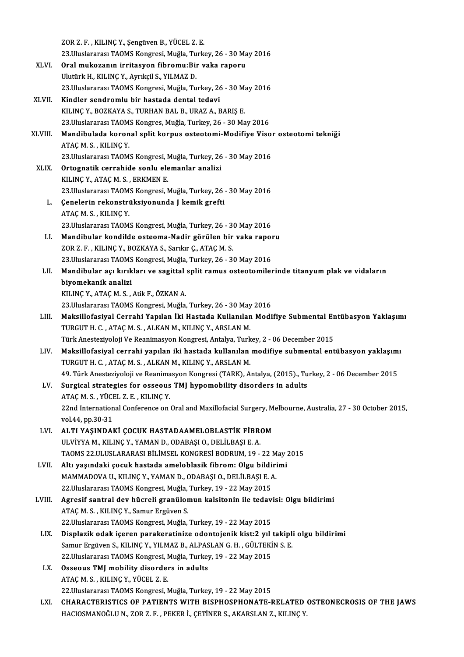|             | ZOR Z. F., KILINÇ Y., Şengüven B., YÜCEL Z. E.                                                                                                             |
|-------------|------------------------------------------------------------------------------------------------------------------------------------------------------------|
|             | 23. Uluslararası TAOMS Kongresi, Muğla, Turkey, 26 - 30 May 2016                                                                                           |
| <b>XLVI</b> | Oral mukozanın irritasyon fibromu:Bir vaka raporu                                                                                                          |
|             | Ulutürk H., KILINÇ Y., Ayrıkçil S., YILMAZ D.                                                                                                              |
|             | 23. Uluslararası TAOMS Kongresi, Muğla, Turkey, 26 - 30 May 2016                                                                                           |
| XLVII.      | Kindler sendromlu bir hastada dental tedavi                                                                                                                |
|             | KILINÇ Y., BOZKAYA S., TURHAN BAL B., URAZ A., BARIŞ E.<br>23. Uluslararası TAOMS Kongres, Muğla, Turkey, 26 - 30 May 2016                                 |
| XLVIII.     | Mandibulada koronal split korpus osteotomi-Modifiye Visor osteotomi tekniği                                                                                |
|             | ATAÇ M S , KILINÇ Y                                                                                                                                        |
|             | 23. Uluslararası TAOMS Kongresi, Muğla, Turkey, 26 - 30 May 2016                                                                                           |
| <b>XLIX</b> | Ortognatik cerrahide sonlu elemanlar analizi                                                                                                               |
|             | KILINÇ Y., ATAÇ M. S., ERKMEN E.                                                                                                                           |
|             | 23. Uluslararası TAOMS Kongresi, Muğla, Turkey, 26 - 30 May 2016                                                                                           |
| L.          | Çenelerin rekonstrüksiyonunda J kemik grefti                                                                                                               |
|             | ATAÇM S., KILINÇY.                                                                                                                                         |
|             | 23. Uluslararası TAOMS Kongresi, Muğla, Turkey, 26 - 30 May 2016                                                                                           |
| LI.         | Mandibular kondilde osteoma-Nadir görülen bir vaka raporu                                                                                                  |
|             | ZOR Z. F., KILINÇ Y., BOZKAYA S., Sarıkır Ç., ATAÇ M. S.                                                                                                   |
|             | 23. Uluslararası TAOMS Kongresi, Muğla, Turkey, 26 - 30 May 2016                                                                                           |
| LII.        | Mandibular açı kırıkları ve sagittal split ramus osteotomilerinde titanyum plak ve vidaların                                                               |
|             | biyomekanik analizi                                                                                                                                        |
|             | KILINÇ Y., ATAÇ M. S., Atik F., ÖZKAN A.                                                                                                                   |
|             | 23. Uluslararası TAOMS Kongresi, Muğla, Turkey, 26 - 30 May 2016                                                                                           |
| LIII.       | Maksillofasiyal Cerrahi Yapılan İki Hastada Kullanılan Modifiye Submental Entübasyon Yaklaşımı<br>TURGUT H. C., ATAÇ M. S., ALKAN M., KILINÇ Y., ARSLAN M. |
|             | Türk Anesteziyoloji Ve Reanimasyon Kongresi, Antalya, Turkey, 2 - 06 December 2015                                                                         |
| LIV.        | Maksillofasiyal cerrahi yapılan iki hastada kullanılan modifiye submental entübasyon yaklaşımı                                                             |
|             | TURGUT H. C., ATAÇ M. S., ALKAN M., KILINÇ Y., ARSLAN M.                                                                                                   |
|             | 49. Türk Anesteziyoloji ve Reanimasyon Kongresi (TARK), Antalya, (2015)., Turkey, 2 - 06 December 2015                                                     |
| LV.         | Surgical strategies for osseous TMJ hypomobility disorders in adults                                                                                       |
|             | ATAÇM S, YÜCEL Z E, KILINÇY                                                                                                                                |
|             | 22nd International Conference on Oral and Maxillofacial Surgery, Melbourne, Australia, 27 - 30 October 2015,                                               |
|             | vol 44, pp 30-31                                                                                                                                           |
| LVI.        | ALTI YAŞINDAKİ ÇOCUK HASTADAAMELOBLASTİK FİBROM                                                                                                            |
|             | ULVİYYA M., KILINÇ Y., YAMAN D., ODABAŞI O., DELİLBAŞI E. A.                                                                                               |
|             | TAOMS 22 ULUSLARARASI BILIMSEL KONGRESI BODRUM, 19 - 22 May 2015                                                                                           |
| LVII.       | Altı yaşındaki çocuk hastada ameloblasik fibrom: Olgu bildirimi                                                                                            |
|             | MAMMADOVA U., KILINÇ Y., YAMAN D., ODABAŞI O., DELİLBAŞI E. A.                                                                                             |
|             | 22. Uluslararası TAOMS Kongresi, Muğla, Turkey, 19 - 22 May 2015                                                                                           |
| LVIII.      | Agresif santral dev hücreli granülomun kalsitonin ile tedavisi: Olgu bildirimi<br>ATAÇ M. S., KILINÇ Y., Samur Ergüven S.                                  |
|             | 22. Uluslararası TAOMS Kongresi, Muğla, Turkey, 19 - 22 May 2015                                                                                           |
| LIX.        | Displazik odak içeren parakeratinize odontojenik kist:2 yıl takipli olgu bildirimi                                                                         |
|             | Samur Ergüven S., KILINÇ Y., YILMAZ B., ALPASLAN G. H., GÜLTEKİN S. E.                                                                                     |
|             | 22. Uluslararası TAOMS Kongresi, Muğla, Turkey, 19 - 22 May 2015                                                                                           |
| LX.         | Osseous TMJ mobility disorders in adults                                                                                                                   |
|             | ATAÇ M. S., KILINÇ Y., YÜCEL Z. E.                                                                                                                         |
|             | 22. Uluslararası TAOMS Kongresi, Muğla, Turkey, 19 - 22 May 2015                                                                                           |
| LXI.        | CHARACTERISTICS OF PATIENTS WITH BISPHOSPHONATE-RELATED OSTEONECROSIS OF THE JAWS                                                                          |
|             | HACIOSMANOĞLU N., ZOR Z. F., PEKER İ., ÇETİNER S., AKARSLAN Z., KILINÇ Y.                                                                                  |
|             |                                                                                                                                                            |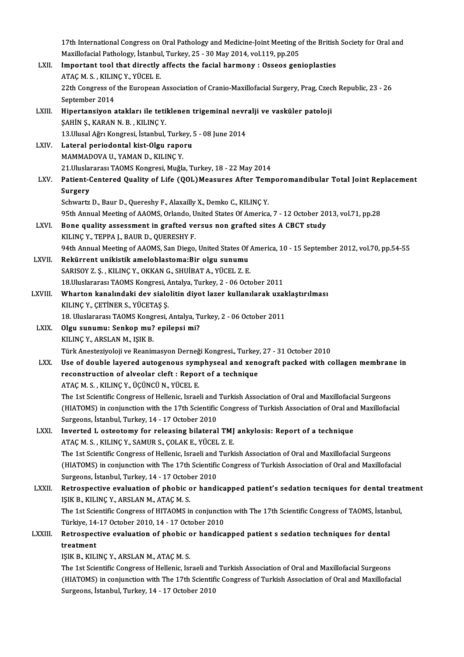17th International Congress on Oral Pathology and Medicine-Joint Meeting of the British Society for Oral and<br>Marillafacial Pathology, Istanbul, Turkey, 25,, 20 May 2014, yol 110, np 205 17th International Congress on Oral Pathology and Medicine-Joint Meeting o<br>Maxillofacial Pathology, İstanbul, Turkey, 25 - 30 May 2014, vol.119, pp.205<br>Important tool that dinastly affasta the fasial harmany : Ossass san 17th International Congress on Oral Pathology and Medicine-Joint Meeting of the British<br>Maxillofacial Pathology, İstanbul, Turkey, 25 - 30 May 2014, vol.119, pp.205<br>LXII. Important tool that directly affects the facial har Maxillofacial Pathology, İstanbul, Turkey, 25 - 30 May 2014, vol.119, pp.205<br>Important tool that directly affects the facial harmony : Osseos genioplasties 22th Congress of the European Association of Cranio-Maxillofacial Surgery, Prag, Czech Republic, 23 - 26<br>September 2014 ATAÇ M. S., KILINÇ Y., YÜCEL E. 22th Congress of the European Association of Cranio-Maxillofacial Surgery, Prag, Czec<br>September 2014<br>LXIII. Hipertansiyon atakları ile tetiklenen trigeminal nevralji ve vasküler patoloji<br>SAHİN S. KARAN N. B. KU INC V September 2014<br>Hipertansiyon atakları ile teti<br>ŞAHİN Ş., KARAN N. B. , KILINÇ Y.<br>12 Husal Ağrı Kongresi, İstanbul Hipertansiyon atakları ile tetiklenen trigeminal nevr<br>ŞAHİN Ş., KARAN N. B. , KILINÇ Y.<br>13.Ulusal Ağrı Kongresi, İstanbul, Turkey, 5 - 08 June 2014<br>Lataral neriodental kist Olsu ranevy SAHİN Ş., KARAN N. B. , KILINÇ Y.<br>13.Ulusal Ağrı Kongresi, İstanbul, Turkey,<br>LXIV. Lateral periodontal kist-Olgu raporu<br>MAMMADOVA U., YAMAN D., KILINÇ Y. 13. Ulusal Ağrı Kongresi, İstanbul, Turkey, 5 - 08 June 2014 21.UluslararasıTAOMSKongresi,Muğla,Turkey,18 -22May2014 MAMMADOVA U., YAMAN D., KILINÇ Y.<br>21.Uluslararası TAOMS Kongresi, Muğla, Turkey, 18 - 22 May 2014<br>LXV. Patient-Centered Quality of Life (QOL)Measures After Temporomandibular Total Joint Replacement<br>Surgery 21.Uluslai<br>Patient-C<br>Surgery<br>Schwartz Patient-Centered Quality of Life (QOL)Measures After Tem<br>Surgery<br>Schwartz D., Baur D., Quereshy F., Alaxailly X., Demko C., KILINÇ Y.<br>95th Annual Meating of AAOMS Orlando United States Of America Surgery<br>Schwartz D., Baur D., Quereshy F., Alaxailly X., Demko C., KILINÇ Y.<br>95th Annual Meeting of AAOMS, Orlando, United States Of America, 7 - 12 October 2013, vol.71, pp.28 Schwartz D., Baur D., Quereshy F., Alaxailly X., Demko C., KILINÇ Y.<br>95th Annual Meeting of AAOMS, Orlando, United States Of America, 7 - 12 October 20<br>LXVI. Bone quality assessment in grafted versus non grafted sites A CB 95th Annual Meeting of AAOMS, Orlando, U<br>Bone quality assessment in grafted ve<br>KILINÇ Y., TEPPA J., BAUR D., QUERESHY F.<br>94th Annual Meeting of AAOMS, San Diego Bone quality assessment in grafted versus non grafted sites A CBCT study<br>KILINÇ Y., TEPPA J., BAUR D., QUERESHY F.<br>94th Annual Meeting of AAOMS, San Diego, United States Of America, 10 - 15 September 2012, vol.70, pp.54-55 KILINÇ Y., TEPPA J., BAUR D., QUERESHY F.<br>94th Annual Meeting of AAOMS, San Diego, United States Of *i*<br>LXVII. Rekürrent unikistik ameloblastoma:Bir olgu sunumu<br>SARISOY Z. S., KILINÇ Y., OKKAN G., SHUİBAT A., YÜCEL Z. E. 94th Annual Meeting of AAOMS, San Diego, United States Of .<br>Rekürrent unikistik ameloblastoma:Bir olgu sunumu<br>SARISOY Z. Ş. , KILINÇ Y., OKKAN G., SHUİBAT A., YÜCEL Z. E.<br>19 Uluslararası TAOMS Kongresi, Antalya Turkey, 2., 18.Uluslararası TAOMS Kongresi, Antalya, Turkey, 2 - 06 October 2011 SARISOY Z. Ş. , KILINÇ Y., OKKAN G., SHUİBAT A., YÜCEL Z. E.<br>18.Uluslararası TAOMS Kongresi, Antalya, Turkey, 2 - 06 October 2011<br>LXVIII. Wharton kanalındaki dev sialolitin diyot lazer kullanılarak uzaklaştırılması<br>19. 18.Uluslararası TAOMS Kongresi, A<br>Wharton kanalındaki dev sialo<br>KILINÇ Y., ÇETİNER S., YÜCETAŞ Ş.<br>19. Uluslararası TAOMS Kongresi Wharton kanalındaki dev sialolitin diyot lazer kullanılarak uzak<br>KILINÇ Y., ÇETİNER S., YÜCETAŞ Ş.<br>18. Uluslararası TAOMS Kongresi, Antalya, Turkey, 2 - 06 October 2011<br>Olay sunumu: Sonken mu? onilonsi mi? KILINÇ Y., ÇETİNER S., YÜCETAŞ Ş.<br>18. Uluslararası TAOMS Kongresi, Antalya, Turkis.<br>LXIX. Olgu sunumu: Senkop mu? epilepsi mi?<br>21. VILINC Y. ABSLAN M. ISIZ P. 18. Uluslararası TAOMS Kong<br>Olgu sunumu: Senkop mu?<br>KILINÇ Y., ARSLAN M., IŞIK B.<br>Türk Anesteriyeleli ve Beanin Olgu sunumu: Senkop mu? epilepsi mi?<br>KILINÇ Y., ARSLAN M., IŞIK B.<br>Türk Anesteziyoloji ve Reanimasyon Derneği Kongresi., Turkey, 27 - 31 October 2010 KILINÇ Y., ARSLAN M., IŞIK B.<br>Türk Anesteziyoloji ve Reanimasyon Derneği Kongresi., Turkey, 27 - 31 October 2010<br>LXX. Use of double layered autogenous symphyseal and xenograft packed with collagen membrane in Türk Anesteziyoloji ve Reanimasyon Derneği Kongresi., Turkey<br>Use of double layered autogenous symphyseal and xeno<br>reconstruction of alveolar cleft : Report of a technique<br>ATAC M.S., KU INC V. ÜÇÜNCÜ N. VÜÇEL E Use of double layered autogenous sym<br>reconstruction of alveolar cleft : Repor<br>ATAÇ M. S., KILINÇ Y., ÜÇÜNCÜ N., YÜCEL E.<br>The 1st Scientific Congress of Hellenia Jaroo reconstruction of alveolar cleft : Report of a technique<br>ATAÇ M. S. , KILINÇ Y., ÜÇÜNCÜ N., YÜCEL E.<br>The 1st Scientific Congress of Hellenic, Israeli and Turkish Association of Oral and Maxillofacial Surgeons<br>(ULATOMS) in ATAÇ M. S. , KILINÇ Y., ÜÇÜNCÜ N., YÜCEL E.<br>The 1st Scientific Congress of Hellenic, Israeli and Turkish Association of Oral and Maxillofacial Surgeons<br>(HIATOMS) in conjunction with the 17th Scientific Congress of Turkish The 1st Scientific Congress of Hellenic, Israeli and<br>(HIATOMS) in conjunction with the 17th Scientific<br>Surgeons, İstanbul, Turkey, 14 - 17 October 2010<br>Invested L. Scientenur for releasing hilateral (HIATOMS) in conjunction with the 17th Scientific Congress of Turkish Association of Oral and<br>Surgeons, İstanbul, Turkey, 14 - 17 October 2010<br>LXXI. Inverted L osteotomy for releasing bilateral TMJ ankylosis: Report of a t Surgeons, İstanbul, Turkey, 14 - 17 October 2010<br>Inverted L osteotomy for releasing bilateral TMJ<br>ATAÇ M. S. , KILINÇ Y., SAMUR S., ÇOLAK E., YÜCEL Z. E.<br>The 1st Scientific Congress of Hellenis Israeli and Turki ATAÇ M. S. , KILINÇ Y., SAMUR S., ÇOLAK E., YÜCEL Z. E.<br>The 1st Scientific Congress of Hellenic, Israeli and Turkish Association of Oral and Maxillofacial Surgeons ATAÇ M. S. , KILINÇ Y., SAMUR S., ÇOLAK E., YÜCEL Z. E.<br>The 1st Scientific Congress of Hellenic, Israeli and Turkish Association of Oral and Maxillofacial Surgeons<br>(HIATOMS) in conjunction with The 17th Scientific Congress The 1st Scientific Congress of Hellenic, Israeli and<br>(HIATOMS) in conjunction with The 17th Scientific<br>Surgeons, İstanbul, Turkey, 14 - 17 October 2010<br>Betrespective evaluation of phobis er bandi (HIATOMS) in conjunction with The 17th Scientific Congress of Turkish Association of Oral and Maxillofacial<br>Surgeons, İstanbul, Turkey, 14 - 17 October 2010<br>LXXII. Retrospective evaluation of phobic or handicapped patient' Surgeons, İstanbul, Turkey, 14 - 17 October 2010<br>Retrospective evaluation of phobic or handicapped patient's sedation tecniques for dental treatment<br>IŞIK B., KILINÇ Y., ARSLAN M., ATAÇ M. S. Retrospective evaluation of phobic or handicapped patient's sedation tecniques for dental trea<br>IŞIK B., KILINÇ Y., ARSLAN M., ATAÇ M. S.<br>The 1st Scientific Congress of HITAOMS in conjunction with The 17th Scientific Congre IŞIK B., KILINÇ Y., ARSLAN M., ATAÇ M. S.<br>The 1st Scientific Congress of HITAOMS in conjunction<br>Türkiye, 14-17 October 2010, 14 - 17 October 2010<br>Betrespective evaluation of phobis er bandisa The 1st Scientific Congress of HITAOMS in conjunction with The 17th Scientific Congress of TAOMS, İstan<br>Türkiye, 14-17 October 2010, 14 - 17 October 2010<br>LXXIII. Retrospective evaluation of phobic or handicapped patient s Türkiye, 14-17 October 2010, 14 - 17 October 2010<br>Retrospective evaluation of phobic or handica<br>treatment<br>IŞIK B., KILINÇ Y., ARSLAN M., ATAÇ M. S. Retrospective evaluation of phobic or handicapped patient s sedation techniques for dental The 1st Scientific Congress of Hellenic, Israeli and Turkish Association of Oral and Maxillofacial Surgeons IŞIK B., KILINÇ Y., ARSLAN M., ATAÇ M. S.<br>The 1st Scientific Congress of Hellenic, Israeli and Turkish Association of Oral and Maxillofacial Surgeons<br>(HIATOMS) in conjunction with The 17th Scientific Congress of Turkish As The 1st Scientific Congress of Hellenic, Israeli and<br>(HIATOMS) in conjunction with The 17th Scientifi<br>Surgeons, İstanbul, Turkey, 14 - 17 October 2010